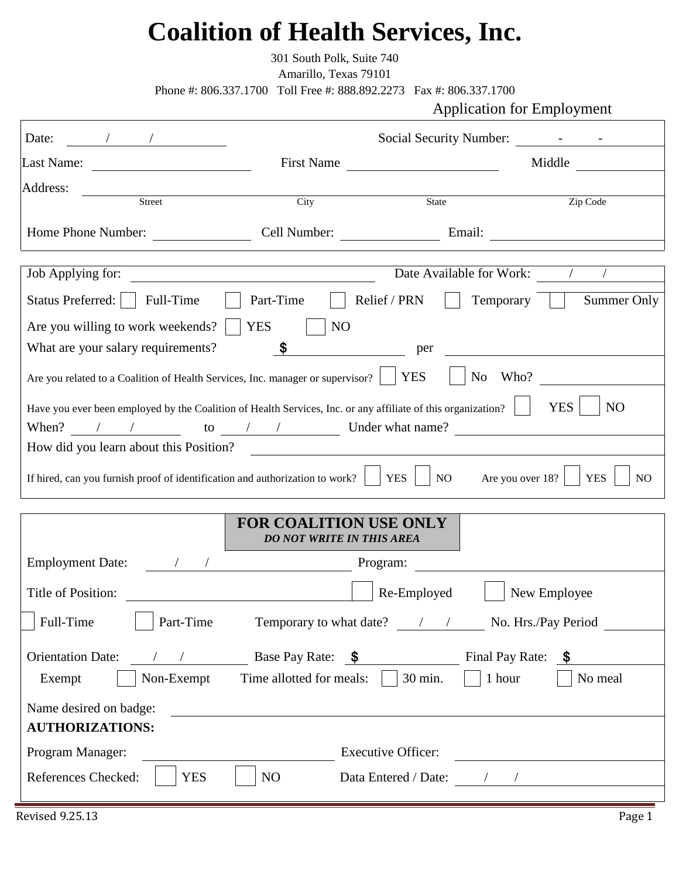## **Coalition of Health Services, Inc.**

301 South Polk, Suite 740

Amarillo, Texas 79101

Phone #: 806.337.1700 Toll Free #: 888.892.2273 Fax #: 806.337.1700

Application for Employment

| Date:                                                                                                                                                             |                                                                              | Social Security Number:    |                                                  |
|-------------------------------------------------------------------------------------------------------------------------------------------------------------------|------------------------------------------------------------------------------|----------------------------|--------------------------------------------------|
| Last Name:                                                                                                                                                        | <b>First Name</b>                                                            |                            | Middle                                           |
| Address:                                                                                                                                                          |                                                                              |                            |                                                  |
| Street                                                                                                                                                            | City                                                                         | State                      | Zip Code                                         |
| Home Phone Number:                                                                                                                                                | Cell Number: Email:                                                          |                            |                                                  |
| Job Applying for:                                                                                                                                                 |                                                                              | Date Available for Work: / |                                                  |
| Status Preferred:<br>Full-Time                                                                                                                                    | Part-Time                                                                    | Relief / PRN<br>Temporary  | Summer Only                                      |
| Are you willing to work weekends?                                                                                                                                 | <b>YES</b><br>N <sub>O</sub>                                                 |                            |                                                  |
| What are your salary requirements?                                                                                                                                | \$                                                                           | per                        |                                                  |
| Are you related to a Coalition of Health Services, Inc. manager or supervisor?                                                                                    |                                                                              | <b>YES</b><br>No Who?      |                                                  |
| Have you ever been employed by the Coalition of Health Services, Inc. or any affiliate of this organization?<br>When? $\angle$ / to $\angle$ / / Under what name? |                                                                              |                            | <b>YES</b><br>N <sub>O</sub>                     |
| How did you learn about this Position?                                                                                                                            |                                                                              |                            |                                                  |
| If hired, can you furnish proof of identification and authorization to work? $\parallel$ YES                                                                      |                                                                              | NO                         | Are you over 18?<br><b>YES</b><br>N <sub>O</sub> |
|                                                                                                                                                                   |                                                                              |                            |                                                  |
|                                                                                                                                                                   | <b>FOR COALITION USE ONLY</b><br><b>DO NOT WRITE IN THIS AREA</b>            |                            |                                                  |
| <b>Employment Date:</b>                                                                                                                                           |                                                                              | Program:                   |                                                  |
| Title of Position:                                                                                                                                                |                                                                              | Re-Employed                | New Employee                                     |
| Full-Time<br>Part-Time                                                                                                                                            | Temporary to what date? / /                                                  |                            | No. Hrs./Pay Period                              |
| <b>Orientation Date:</b>                                                                                                                                          | $\frac{1}{2}$ / / Base Pay Rate: $\frac{1}{2}$ Final Pay Rate: $\frac{1}{2}$ |                            |                                                  |
| Non-Exempt<br>Exempt                                                                                                                                              | Time allotted for meals: $\vert$ $\vert$ 30 min.                             | 1 hour                     | No meal                                          |
| Name desired on badge:                                                                                                                                            |                                                                              |                            |                                                  |
| <b>AUTHORIZATIONS:</b>                                                                                                                                            |                                                                              |                            |                                                  |
| Program Manager:                                                                                                                                                  |                                                                              | <b>Executive Officer:</b>  | <u> 1989 - Andrea Andrew Maria (h. 1989).</u>    |
| References Checked:<br><b>YES</b>                                                                                                                                 | NO                                                                           |                            |                                                  |
|                                                                                                                                                                   |                                                                              |                            |                                                  |

E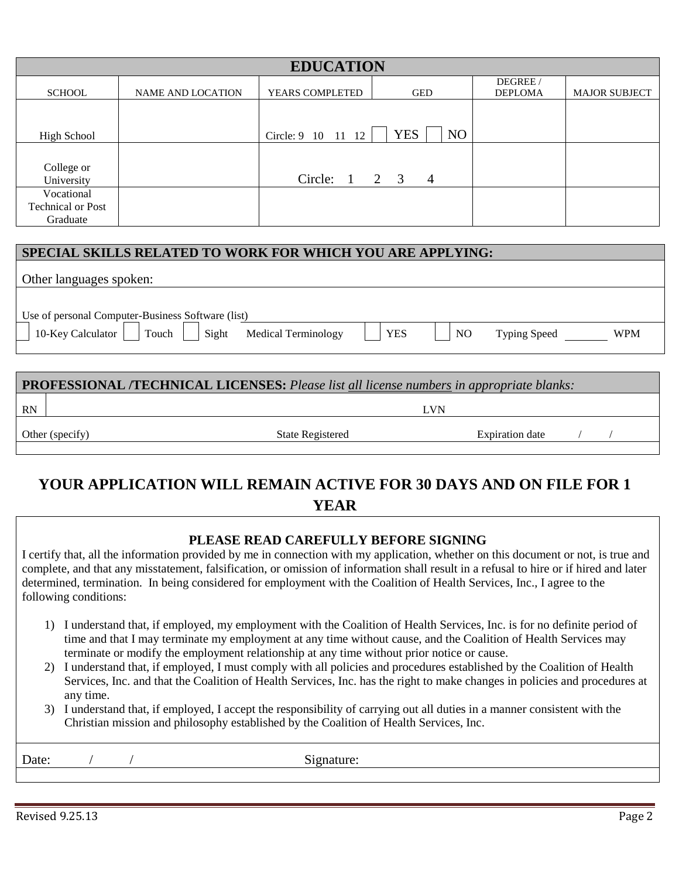| <b>EDUCATION</b>         |                          |                    |                  |                            |                      |
|--------------------------|--------------------------|--------------------|------------------|----------------------------|----------------------|
| <b>SCHOOL</b>            | <b>NAME AND LOCATION</b> | YEARS COMPLETED    | <b>GED</b>       | DEGREE /<br><b>DEPLOMA</b> | <b>MAJOR SUBJECT</b> |
|                          |                          |                    |                  |                            |                      |
| <b>High School</b>       |                          | Circle: 9 10 11 12 | <b>YES</b><br>NO |                            |                      |
|                          |                          |                    |                  |                            |                      |
| College or<br>University |                          | Circle: 1 2 3 4    |                  |                            |                      |
| Vocational               |                          |                    |                  |                            |                      |
| <b>Technical or Post</b> |                          |                    |                  |                            |                      |
| Graduate                 |                          |                    |                  |                            |                      |

#### **SPECIAL SKILLS RELATED TO WORK FOR WHICH YOU ARE APPLYING:**

| Other languages spoken:                           |                            |            |                |                     |            |
|---------------------------------------------------|----------------------------|------------|----------------|---------------------|------------|
| Use of personal Computer-Business Software (list) |                            |            |                |                     |            |
| 10-Key Calculator<br>Touch<br>Sight               | <b>Medical Terminology</b> | <b>YES</b> | N <sub>O</sub> | <b>Typing Speed</b> | <b>WPM</b> |

| <b>PROFESSIONAL /TECHNICAL LICENSES:</b> Please list all license numbers in appropriate blanks: |                  |                        |  |  |
|-------------------------------------------------------------------------------------------------|------------------|------------------------|--|--|
| <b>RN</b>                                                                                       |                  | I .VN                  |  |  |
| Other (specify)                                                                                 | State Registered | <b>Expiration date</b> |  |  |

### **YOUR APPLICATION WILL REMAIN ACTIVE FOR 30 DAYS AND ON FILE FOR 1 YEAR**

#### **PLEASE READ CAREFULLY BEFORE SIGNING**

I certify that, all the information provided by me in connection with my application, whether on this document or not, is true and complete, and that any misstatement, falsification, or omission of information shall result in a refusal to hire or if hired and later determined, termination. In being considered for employment with the Coalition of Health Services, Inc., I agree to the following conditions:

- 1) I understand that, if employed, my employment with the Coalition of Health Services, Inc. is for no definite period of time and that I may terminate my employment at any time without cause, and the Coalition of Health Services may terminate or modify the employment relationship at any time without prior notice or cause.
- 2) I understand that, if employed, I must comply with all policies and procedures established by the Coalition of Health Services, Inc. and that the Coalition of Health Services, Inc. has the right to make changes in policies and procedures at any time.
- 3) I understand that, if employed, I accept the responsibility of carrying out all duties in a manner consistent with the Christian mission and philosophy established by the Coalition of Health Services, Inc.

Date: / / / Signature: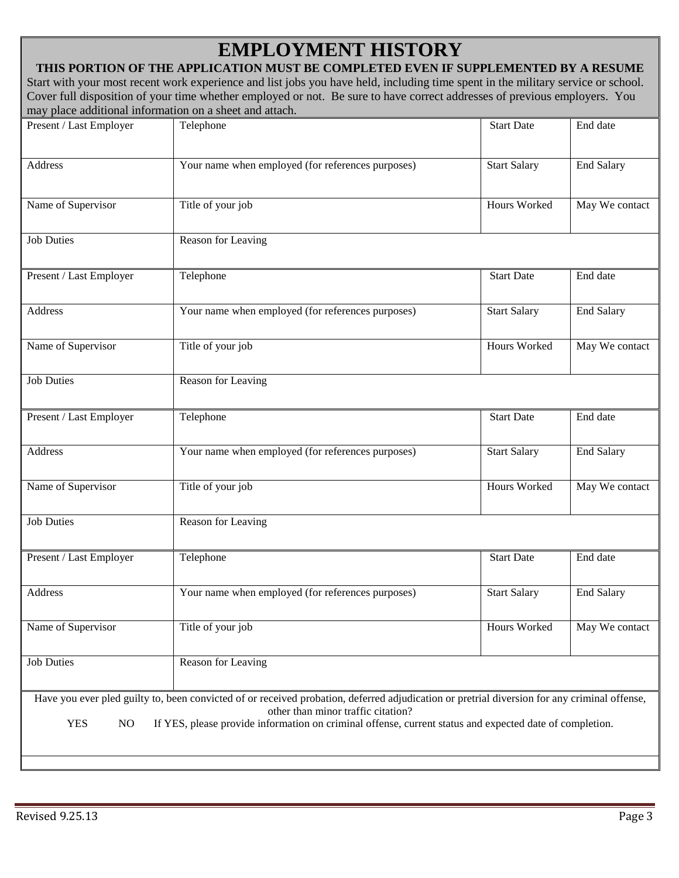## **EMPLOYMENT HISTORY**

#### **THIS PORTION OF THE APPLICATION MUST BE COMPLETED EVEN IF SUPPLEMENTED BY A RESUME** Start with your most recent work experience and list jobs you have held, including time spent in the military service or school. Cover full disposition of your time whether employed or not. Be sure to have correct addresses of previous employers. You may place additional information on a sheet and attach.

| Present / Last Employer                                                                                                                                                                                                                                                                                           | Telephone                                         | <b>Start Date</b>   | End date          |  |
|-------------------------------------------------------------------------------------------------------------------------------------------------------------------------------------------------------------------------------------------------------------------------------------------------------------------|---------------------------------------------------|---------------------|-------------------|--|
| Address                                                                                                                                                                                                                                                                                                           | Your name when employed (for references purposes) | <b>Start Salary</b> | <b>End Salary</b> |  |
| Name of Supervisor                                                                                                                                                                                                                                                                                                | Title of your job                                 | Hours Worked        | May We contact    |  |
| <b>Job Duties</b>                                                                                                                                                                                                                                                                                                 | Reason for Leaving                                |                     |                   |  |
| Present / Last Employer                                                                                                                                                                                                                                                                                           | Telephone                                         | <b>Start Date</b>   | End date          |  |
| <b>Address</b>                                                                                                                                                                                                                                                                                                    | Your name when employed (for references purposes) | <b>Start Salary</b> | <b>End Salary</b> |  |
| Name of Supervisor                                                                                                                                                                                                                                                                                                | Title of your job                                 | Hours Worked        | May We contact    |  |
| <b>Job Duties</b>                                                                                                                                                                                                                                                                                                 | Reason for Leaving                                |                     |                   |  |
| Present / Last Employer                                                                                                                                                                                                                                                                                           | Telephone                                         | <b>Start Date</b>   | End date          |  |
| Address                                                                                                                                                                                                                                                                                                           | Your name when employed (for references purposes) | <b>Start Salary</b> | <b>End Salary</b> |  |
| Name of Supervisor                                                                                                                                                                                                                                                                                                | Title of your job                                 | Hours Worked        | May We contact    |  |
| <b>Job Duties</b>                                                                                                                                                                                                                                                                                                 | Reason for Leaving                                |                     |                   |  |
| Present / Last Employer                                                                                                                                                                                                                                                                                           | Telephone                                         | <b>Start Date</b>   | End date          |  |
| Address                                                                                                                                                                                                                                                                                                           | Your name when employed (for references purposes) | <b>Start Salary</b> | <b>End Salary</b> |  |
| Name of Supervisor                                                                                                                                                                                                                                                                                                | Title of your job                                 | Hours Worked        | May We contact    |  |
| <b>Job Duties</b>                                                                                                                                                                                                                                                                                                 | Reason for Leaving                                |                     |                   |  |
| Have you ever pled guilty to, been convicted of or received probation, deferred adjudication or pretrial diversion for any criminal offense,<br>other than minor traffic citation?<br><b>YES</b><br>NO<br>If YES, please provide information on criminal offense, current status and expected date of completion. |                                                   |                     |                   |  |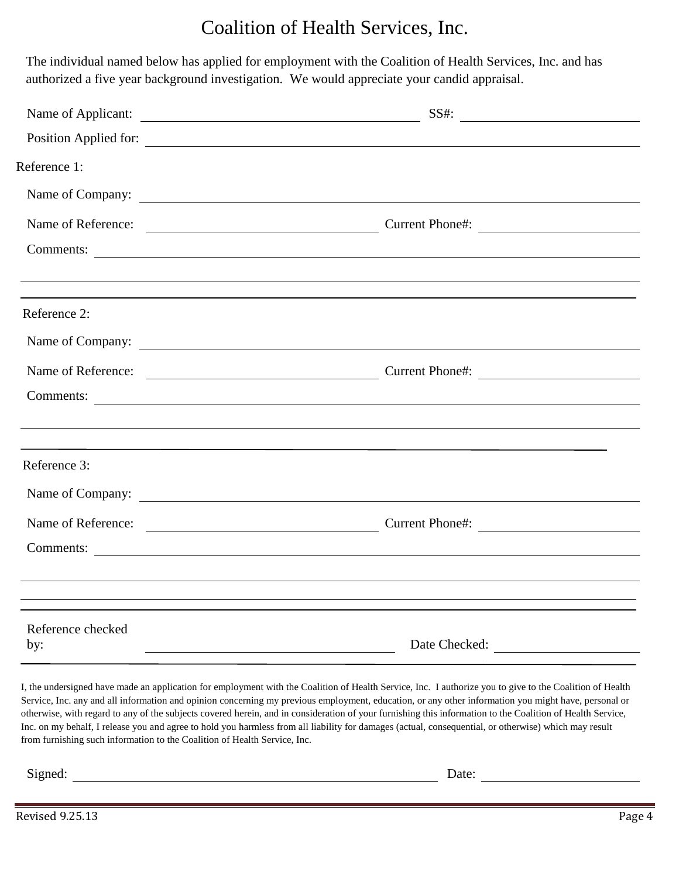## Coalition of Health Services, Inc.

 The individual named below has applied for employment with the Coalition of Health Services, Inc. and has authorized a five year background investigation. We would appreciate your candid appraisal.

| Name of Applicant:       | $SS#$ :                                                                                                                                                              |
|--------------------------|----------------------------------------------------------------------------------------------------------------------------------------------------------------------|
|                          | Position Applied for:                                                                                                                                                |
| Reference 1:             |                                                                                                                                                                      |
|                          |                                                                                                                                                                      |
|                          |                                                                                                                                                                      |
|                          |                                                                                                                                                                      |
|                          | ,我们也不会有什么。""我们的人,我们也不会有什么?""我们的人,我们也不会有什么?""我们的人,我们也不会有什么?""我们的人,我们也不会有什么?""我们的人<br>,我们也不会有什么。""我们的人,我们也不会有什么?""我们的人,我们也不会有什么?""我们的人,我们也不会有什么?""我们的人,我们也不会有什么?""我们的人 |
| Reference 2:             |                                                                                                                                                                      |
|                          | Name of Company:                                                                                                                                                     |
|                          |                                                                                                                                                                      |
|                          |                                                                                                                                                                      |
|                          |                                                                                                                                                                      |
| Reference 3:             |                                                                                                                                                                      |
|                          |                                                                                                                                                                      |
|                          |                                                                                                                                                                      |
|                          |                                                                                                                                                                      |
|                          |                                                                                                                                                                      |
|                          | ,我们也不会有什么。""我们的人,我们也不会有什么?""我们的人,我们也不会有什么?""我们的人,我们也不会有什么?""我们的人,我们也不会有什么?""我们的人                                                                                     |
| Reference checked<br>by: | Date Checked:                                                                                                                                                        |

I, the undersigned have made an application for employment with the Coalition of Health Service, Inc. I authorize you to give to the Coalition of Health Service, Inc. any and all information and opinion concerning my previous employment, education, or any other information you might have, personal or otherwise, with regard to any of the subjects covered herein, and in consideration of your furnishing this information to the Coalition of Health Service, Inc. on my behalf, I release you and agree to hold you harmless from all liability for damages (actual, consequential, or otherwise) which may result from furnishing such information to the Coalition of Health Service, Inc.

Signed: Date: Date: